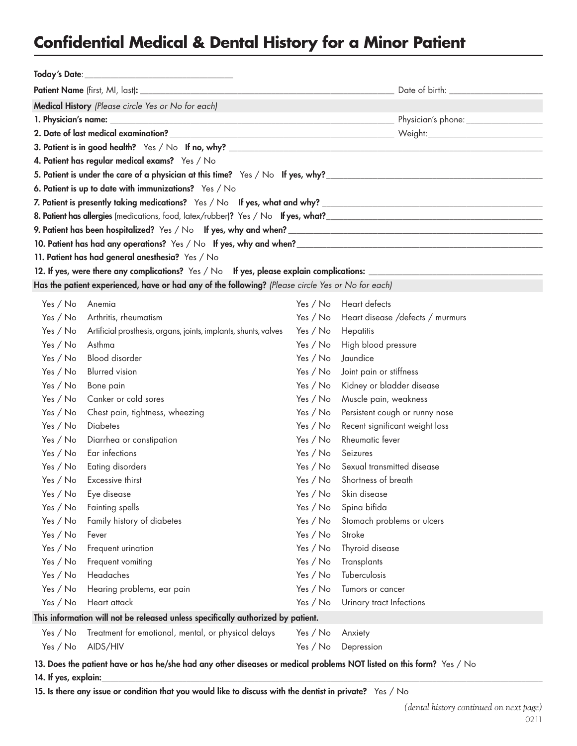## **Confidential Medical & Dental History for a Minor Patient**

| Today's Date:<br><u> 1980 - Andrea Andrew Maria (h. 1980).</u>                                                       |                                                                                                                |            |                                     |  |  |  |
|----------------------------------------------------------------------------------------------------------------------|----------------------------------------------------------------------------------------------------------------|------------|-------------------------------------|--|--|--|
|                                                                                                                      |                                                                                                                |            |                                     |  |  |  |
| Medical History (Please circle Yes or No for each)                                                                   |                                                                                                                |            |                                     |  |  |  |
|                                                                                                                      |                                                                                                                |            |                                     |  |  |  |
|                                                                                                                      | 2. Date of last medical examination? Notified the state of the state of the state of last medical examination? |            |                                     |  |  |  |
|                                                                                                                      |                                                                                                                |            |                                     |  |  |  |
| 4. Patient has regular medical exams? Yes / No                                                                       |                                                                                                                |            |                                     |  |  |  |
|                                                                                                                      |                                                                                                                |            |                                     |  |  |  |
| 6. Patient is up to date with immunizations? Yes / No                                                                |                                                                                                                |            |                                     |  |  |  |
|                                                                                                                      |                                                                                                                |            |                                     |  |  |  |
|                                                                                                                      |                                                                                                                |            |                                     |  |  |  |
|                                                                                                                      |                                                                                                                |            |                                     |  |  |  |
|                                                                                                                      |                                                                                                                |            |                                     |  |  |  |
| 11. Patient has had general anesthesia? Yes / No                                                                     |                                                                                                                |            |                                     |  |  |  |
| 12. If yes, were there any complications? Yes / No If yes, please explain complications: _____________________       |                                                                                                                |            |                                     |  |  |  |
| Has the patient experienced, have or had any of the following? (Please circle Yes or No for each)                    |                                                                                                                |            |                                     |  |  |  |
| Yes / No                                                                                                             | Anemia                                                                                                         | Yes $/$ No | Heart defects                       |  |  |  |
| Yes / No                                                                                                             | Arthritis, rheumatism                                                                                          | Yes / No   | Heart disease /defects / murmurs    |  |  |  |
| Yes $/$ No                                                                                                           | Artificial prosthesis, organs, joints, implants, shunts, valves                                                | Yes $/$ No | Hepatitis                           |  |  |  |
| Yes / No                                                                                                             | Asthma                                                                                                         | Yes / No   | High blood pressure                 |  |  |  |
| Yes / No                                                                                                             | <b>Blood</b> disorder                                                                                          | Yes / No   | Jaundice                            |  |  |  |
| Yes / No                                                                                                             | <b>Blurred</b> vision                                                                                          | Yes / No   | Joint pain or stiffness             |  |  |  |
| Yes / No                                                                                                             | Bone pain                                                                                                      | Yes $/$ No | Kidney or bladder disease           |  |  |  |
| Yes $/$ No                                                                                                           | Canker or cold sores                                                                                           | Yes / No   | Muscle pain, weakness               |  |  |  |
| Yes $/$ No                                                                                                           | Chest pain, tightness, wheezing                                                                                | Yes / No   | Persistent cough or runny nose      |  |  |  |
| Yes $/$ No                                                                                                           | <b>Diabetes</b>                                                                                                | Yes / No   | Recent significant weight loss      |  |  |  |
| Yes / No                                                                                                             | Diarrhea or constipation                                                                                       | Yes / No   | Rheumatic fever                     |  |  |  |
| Yes / No                                                                                                             | Ear infections                                                                                                 | Yes / No   | Seizures                            |  |  |  |
| Yes / No                                                                                                             | <b>Eating disorders</b>                                                                                        |            | Yes / No Sexual transmitted disease |  |  |  |
|                                                                                                                      | Yes / No Excessive thirst                                                                                      |            | Yes / No Shortness of breath        |  |  |  |
|                                                                                                                      | Yes / No Eye disease                                                                                           |            | Yes / No Skin disease               |  |  |  |
| Yes / No                                                                                                             | Fainting spells                                                                                                | Yes / No   | Spina bifida                        |  |  |  |
| Yes / No                                                                                                             | Family history of diabetes                                                                                     | Yes / No   | Stomach problems or ulcers          |  |  |  |
| Yes / No                                                                                                             | Fever                                                                                                          | Yes / No   | Stroke                              |  |  |  |
| Yes / No                                                                                                             | Frequent urination                                                                                             | Yes / No   | Thyroid disease                     |  |  |  |
| Yes / No                                                                                                             | Frequent vomiting                                                                                              | Yes / No   | <b>Transplants</b>                  |  |  |  |
| Yes / No                                                                                                             | Headaches                                                                                                      | Yes / No   | Tuberculosis                        |  |  |  |
| Yes / No                                                                                                             | Hearing problems, ear pain                                                                                     | Yes / No   | Tumors or cancer                    |  |  |  |
| Yes / No                                                                                                             | Heart attack                                                                                                   | Yes / No   | Urinary tract Infections            |  |  |  |
| This information will not be released unless specifically authorized by patient.                                     |                                                                                                                |            |                                     |  |  |  |
| Yes / No                                                                                                             | Treatment for emotional, mental, or physical delays                                                            | Yes / No   | Anxiety                             |  |  |  |
| Yes / No                                                                                                             | AIDS/HIV                                                                                                       | Yes / No   | Depression                          |  |  |  |
| 13. Does the patient have or has he/she had any other diseases or medical problems NOT listed on this form? Yes / No |                                                                                                                |            |                                     |  |  |  |

14. If yes, explain:

15. Is there any issue or condition that you would like to discuss with the dentist in private? Yes / No